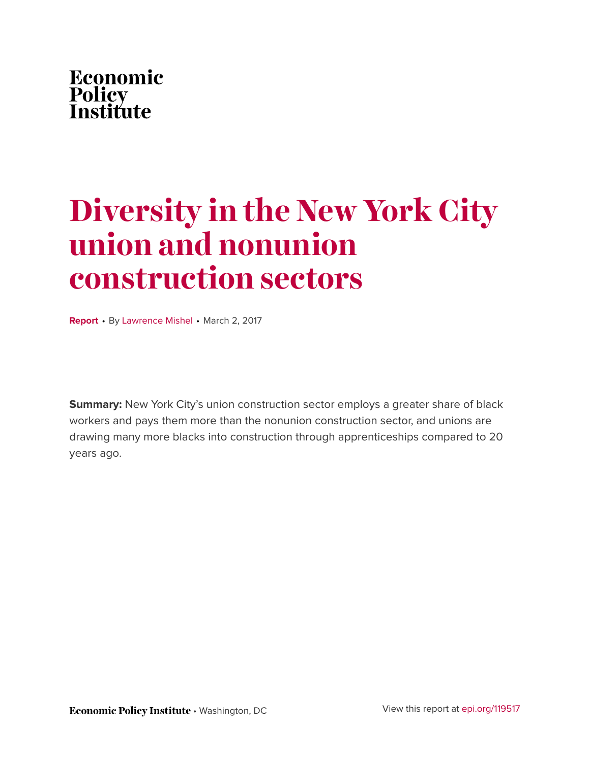

# **Diversity in the New York City union and nonunion construction sectors**

**Report** • By [Lawrence Mishel](http://www.epi.org/people/lawrence-mishel/) • March 2, 2017

**Summary:** New York City's union construction sector employs a greater share of black workers and pays them more than the nonunion construction sector, and unions are drawing many more blacks into construction through apprenticeships compared to 20 years ago.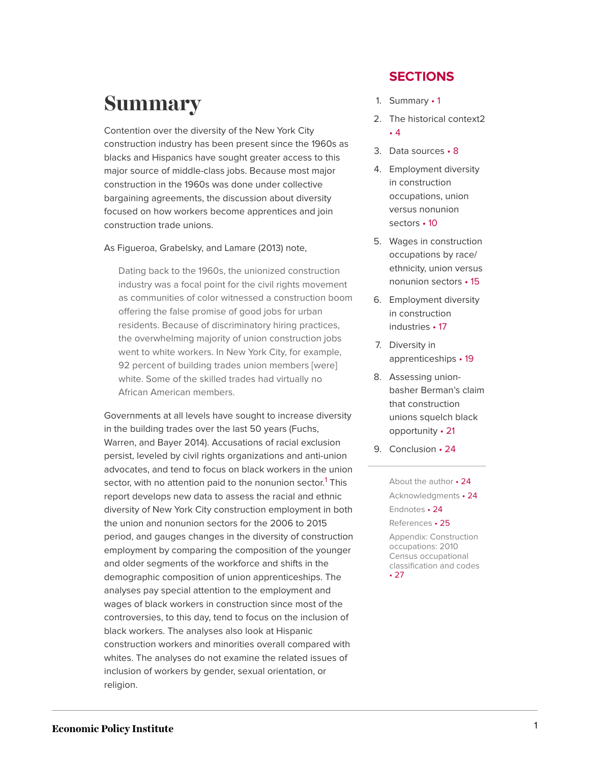## <span id="page-1-0"></span>**Summary**

Contention over the diversity of the New York City construction industry has been present since the 1960s as blacks and Hispanics have sought greater access to this major source of middle-class jobs. Because most major construction in the 1960s was done under collective bargaining agreements, the discussion about diversity focused on how workers become apprentices and join construction trade unions.

As Figueroa, Grabelsky, and Lamare (2013) note,

Dating back to the 1960s, the unionized construction industry was a focal point for the civil rights movement as communities of color witnessed a construction boom offering the false promise of good jobs for urban residents. Because of discriminatory hiring practices, the overwhelming majority of union construction jobs went to white workers. In New York City, for example, 92 percent of building trades union members [were] white. Some of the skilled trades had virtually no African American members.

<span id="page-1-1"></span>Governments at all levels have sought to increase diversity in the building trades over the last 50 years (Fuchs, Warren, and Bayer 2014). Accusations of racial exclusion persist, leveled by civil rights organizations and anti-union advocates, and tend to focus on black workers in the union sector, with no attention paid to the nonunion sector.<sup>[1](#page-24-4)</sup> This report develops new data to assess the racial and ethnic diversity of New York City construction employment in both the union and nonunion sectors for the 2006 to 2015 period, and gauges changes in the diversity of construction employment by comparing the composition of the younger and older segments of the workforce and shifts in the demographic composition of union apprenticeships. The analyses pay special attention to the employment and wages of black workers in construction since most of the controversies, to this day, tend to focus on the inclusion of black workers. The analyses also look at Hispanic construction workers and minorities overall compared with whites. The analyses do not examine the related issues of inclusion of workers by gender, sexual orientation, or religion.

### **SECTIONS**

- 1. [Summary](#page-1-0) 1
- 2. [The historical](#page-4-0) context2 • [4](#page-4-0)
- 3. Data [sources](#page-8-0) 8
- 4. [Employment diversity](#page-10-0) [in construction](#page-10-0) [occupations, union](#page-10-0) [versus nonunion](#page-10-0) [sectors](#page-10-0) • 10
- 5. [Wages in construction](#page-15-0) [occupations by race/](#page-15-0) [ethnicity, union versus](#page-15-0) [nonunion](#page-15-0) sectors • 15
- 6. [Employment diversity](#page-17-0) [in construction](#page-17-0) [industries](#page-17-0) • 17
- 7. [Diversity in](#page-19-0) [apprenticeships](#page-19-0) • 19
- 8. [Assessing union](#page-21-0)[basher Berman's claim](#page-21-0) [that construction](#page-21-0) [unions squelch black](#page-21-0) [opportunity](#page-21-0) • 21
- 9. [Conclusion](#page-24-0) 24

[About the](#page-24-1) author • 24 [Acknowledgments](#page-24-2) • 24 [Endnotes](#page-24-3) • 24 [References](#page-25-0) • 25 [Appendix: Construction](#page-27-0)

[occupations: 2010](#page-27-0) [Census occupational](#page-27-0) [classification and](#page-27-0) codes • [27](#page-27-0)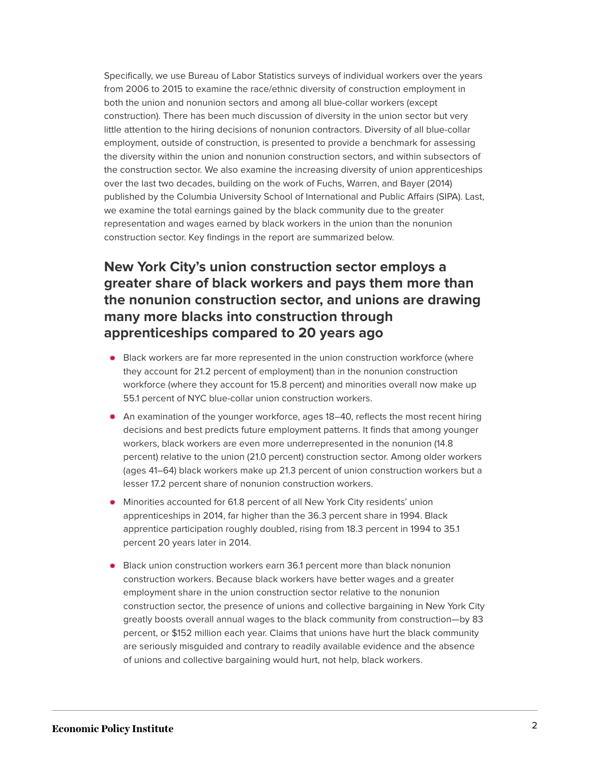Specifically, we use Bureau of Labor Statistics surveys of individual workers over the years from 2006 to 2015 to examine the race/ethnic diversity of construction employment in both the union and nonunion sectors and among all blue-collar workers (except construction). There has been much discussion of diversity in the union sector but very little attention to the hiring decisions of nonunion contractors. Diversity of all blue-collar employment, outside of construction, is presented to provide a benchmark for assessing the diversity within the union and nonunion construction sectors, and within subsectors of the construction sector. We also examine the increasing diversity of union apprenticeships over the last two decades, building on the work of Fuchs, Warren, and Bayer (2014) published by the Columbia University School of International and Public Affairs (SIPA). Last, we examine the total earnings gained by the black community due to the greater representation and wages earned by black workers in the union than the nonunion construction sector. Key findings in the report are summarized below.

### **New York City's union construction sector employs a greater share of black workers and pays them more than the nonunion construction sector, and unions are drawing many more blacks into construction through apprenticeships compared to 20 years ago**

- **Black workers are far more represented in the union construction workforce (where** they account for 21.2 percent of employment) than in the nonunion construction workforce (where they account for 15.8 percent) and minorities overall now make up 55.1 percent of NYC blue-collar union construction workers.
- An examination of the younger workforce, ages 18–40, reflects the most recent hiring decisions and best predicts future employment patterns. It finds that among younger workers, black workers are even more underrepresented in the nonunion (14.8 percent) relative to the union (21.0 percent) construction sector. Among older workers (ages 41–64) black workers make up 21.3 percent of union construction workers but a lesser 17.2 percent share of nonunion construction workers.
- Minorities accounted for 61.8 percent of all New York City residents' union apprenticeships in 2014, far higher than the 36.3 percent share in 1994. Black apprentice participation roughly doubled, rising from 18.3 percent in 1994 to 35.1 percent 20 years later in 2014.
- **Black union construction workers earn 36.1 percent more than black nonunion** construction workers. Because black workers have better wages and a greater employment share in the union construction sector relative to the nonunion construction sector, the presence of unions and collective bargaining in New York City greatly boosts overall annual wages to the black community from construction—by 83 percent, or \$152 million each year. Claims that unions have hurt the black community are seriously misguided and contrary to readily available evidence and the absence of unions and collective bargaining would hurt, not help, black workers.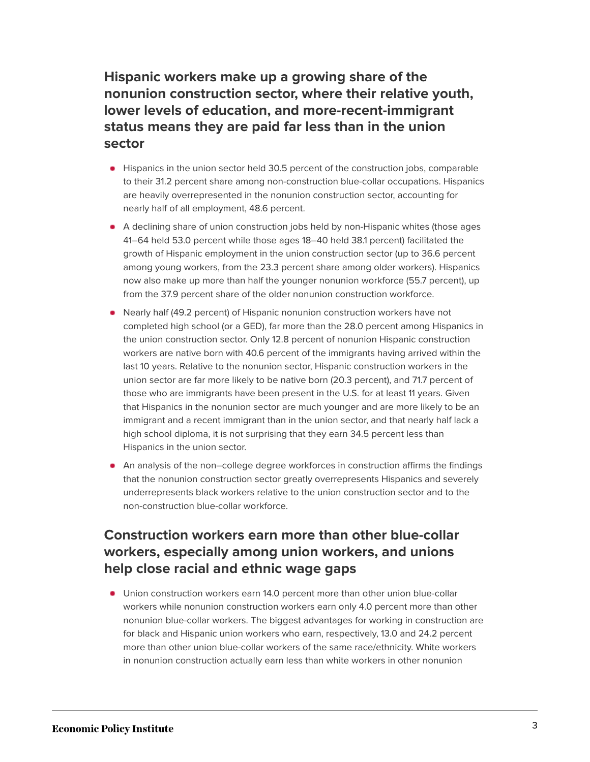**Hispanic workers make up a growing share of the nonunion construction sector, where their relative youth, lower levels of education, and more-recent-immigrant status means they are paid far less than in the union sector**

- Hispanics in the union sector held 30.5 percent of the construction jobs, comparable to their 31.2 percent share among non-construction blue-collar occupations. Hispanics are heavily overrepresented in the nonunion construction sector, accounting for nearly half of all employment, 48.6 percent.
- A declining share of union construction jobs held by non-Hispanic whites (those ages 41–64 held 53.0 percent while those ages 18–40 held 38.1 percent) facilitated the growth of Hispanic employment in the union construction sector (up to 36.6 percent among young workers, from the 23.3 percent share among older workers). Hispanics now also make up more than half the younger nonunion workforce (55.7 percent), up from the 37.9 percent share of the older nonunion construction workforce.
- Nearly half (49.2 percent) of Hispanic nonunion construction workers have not completed high school (or a GED), far more than the 28.0 percent among Hispanics in the union construction sector. Only 12.8 percent of nonunion Hispanic construction workers are native born with 40.6 percent of the immigrants having arrived within the last 10 years. Relative to the nonunion sector, Hispanic construction workers in the union sector are far more likely to be native born (20.3 percent), and 71.7 percent of those who are immigrants have been present in the U.S. for at least 11 years. Given that Hispanics in the nonunion sector are much younger and are more likely to be an immigrant and a recent immigrant than in the union sector, and that nearly half lack a high school diploma, it is not surprising that they earn 34.5 percent less than Hispanics in the union sector.
- An analysis of the non–college degree workforces in construction affirms the findings that the nonunion construction sector greatly overrepresents Hispanics and severely underrepresents black workers relative to the union construction sector and to the non-construction blue-collar workforce.

### **Construction workers earn more than other blue-collar workers, especially among union workers, and unions help close racial and ethnic wage gaps**

Union construction workers earn 14.0 percent more than other union blue-collar workers while nonunion construction workers earn only 4.0 percent more than other nonunion blue-collar workers. The biggest advantages for working in construction are for black and Hispanic union workers who earn, respectively, 13.0 and 24.2 percent more than other union blue-collar workers of the same race/ethnicity. White workers in nonunion construction actually earn less than white workers in other nonunion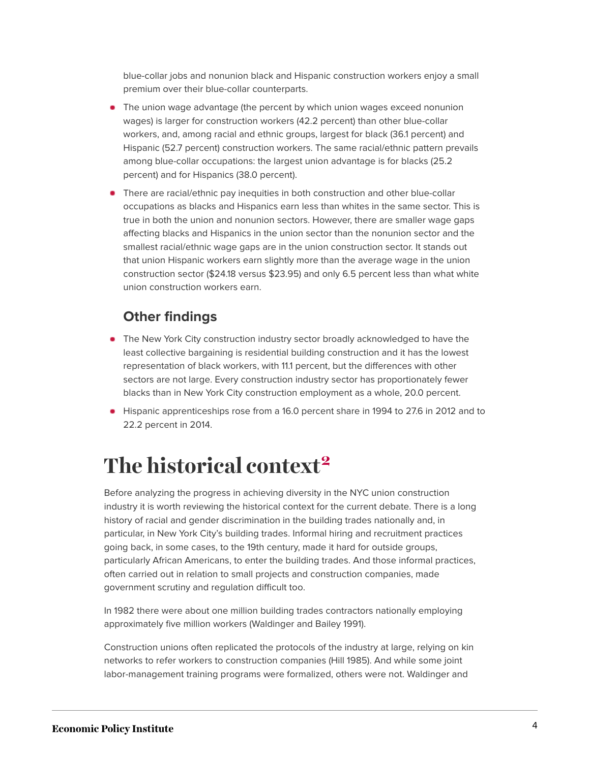blue-collar jobs and nonunion black and Hispanic construction workers enjoy a small premium over their blue-collar counterparts.

- The union wage advantage (the percent by which union wages exceed nonunion wages) is larger for construction workers (42.2 percent) than other blue-collar workers, and, among racial and ethnic groups, largest for black (36.1 percent) and Hispanic (52.7 percent) construction workers. The same racial/ethnic pattern prevails among blue-collar occupations: the largest union advantage is for blacks (25.2 percent) and for Hispanics (38.0 percent).
- **There are racial/ethnic pay inequities in both construction and other blue-collar** occupations as blacks and Hispanics earn less than whites in the same sector. This is true in both the union and nonunion sectors. However, there are smaller wage gaps affecting blacks and Hispanics in the union sector than the nonunion sector and the smallest racial/ethnic wage gaps are in the union construction sector. It stands out that union Hispanic workers earn slightly more than the average wage in the union construction sector (\$24.18 versus \$23.95) and only 6.5 percent less than what white union construction workers earn.

### **Other findings**

- **The New York City construction industry sector broadly acknowledged to have the** least collective bargaining is residential building construction and it has the lowest representation of black workers, with 11.1 percent, but the differences with other sectors are not large. Every construction industry sector has proportionately fewer blacks than in New York City construction employment as a whole, 20.0 percent.
- Hispanic apprenticeships rose from a 16.0 percent share in 1994 to 27.6 in 2012 and to 22.2 percent in 2014.

# <span id="page-4-1"></span><span id="page-4-0"></span>**The historical context[2](#page-24-5)**

Before analyzing the progress in achieving diversity in the NYC union construction industry it is worth reviewing the historical context for the current debate. There is a long history of racial and gender discrimination in the building trades nationally and, in particular, in New York City's building trades. Informal hiring and recruitment practices going back, in some cases, to the 19th century, made it hard for outside groups, particularly African Americans, to enter the building trades. And those informal practices, often carried out in relation to small projects and construction companies, made government scrutiny and regulation difficult too.

In 1982 there were about one million building trades contractors nationally employing approximately five million workers (Waldinger and Bailey 1991).

Construction unions often replicated the protocols of the industry at large, relying on kin networks to refer workers to construction companies (Hill 1985). And while some joint labor-management training programs were formalized, others were not. Waldinger and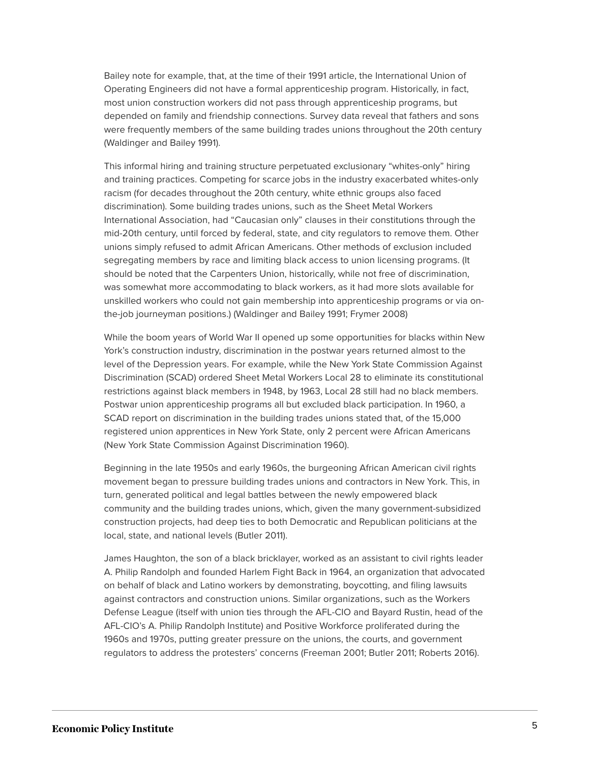Bailey note for example, that, at the time of their 1991 article, the International Union of Operating Engineers did not have a formal apprenticeship program. Historically, in fact, most union construction workers did not pass through apprenticeship programs, but depended on family and friendship connections. Survey data reveal that fathers and sons were frequently members of the same building trades unions throughout the 20th century (Waldinger and Bailey 1991).

This informal hiring and training structure perpetuated exclusionary "whites-only" hiring and training practices. Competing for scarce jobs in the industry exacerbated whites-only racism (for decades throughout the 20th century, white ethnic groups also faced discrimination). Some building trades unions, such as the Sheet Metal Workers International Association, had "Caucasian only" clauses in their constitutions through the mid-20th century, until forced by federal, state, and city regulators to remove them. Other unions simply refused to admit African Americans. Other methods of exclusion included segregating members by race and limiting black access to union licensing programs. (It should be noted that the Carpenters Union, historically, while not free of discrimination, was somewhat more accommodating to black workers, as it had more slots available for unskilled workers who could not gain membership into apprenticeship programs or via onthe-job journeyman positions.) (Waldinger and Bailey 1991; Frymer 2008)

While the boom years of World War II opened up some opportunities for blacks within New York's construction industry, discrimination in the postwar years returned almost to the level of the Depression years. For example, while the New York State Commission Against Discrimination (SCAD) ordered Sheet Metal Workers Local 28 to eliminate its constitutional restrictions against black members in 1948, by 1963, Local 28 still had no black members. Postwar union apprenticeship programs all but excluded black participation. In 1960, a SCAD report on discrimination in the building trades unions stated that, of the 15,000 registered union apprentices in New York State, only 2 percent were African Americans (New York State Commission Against Discrimination 1960).

Beginning in the late 1950s and early 1960s, the burgeoning African American civil rights movement began to pressure building trades unions and contractors in New York. This, in turn, generated political and legal battles between the newly empowered black community and the building trades unions, which, given the many government-subsidized construction projects, had deep ties to both Democratic and Republican politicians at the local, state, and national levels (Butler 2011).

James Haughton, the son of a black bricklayer, worked as an assistant to civil rights leader A. Philip Randolph and founded Harlem Fight Back in 1964, an organization that advocated on behalf of black and Latino workers by demonstrating, boycotting, and filing lawsuits against contractors and construction unions. Similar organizations, such as the Workers Defense League (itself with union ties through the AFL-CIO and Bayard Rustin, head of the AFL-CIO's A. Philip Randolph Institute) and Positive Workforce proliferated during the 1960s and 1970s, putting greater pressure on the unions, the courts, and government regulators to address the protesters' concerns (Freeman 2001; Butler 2011; Roberts 2016).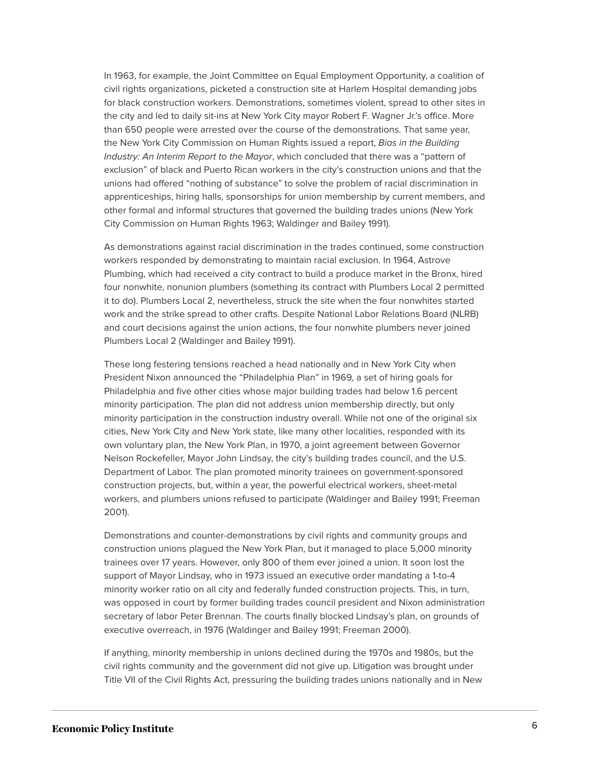In 1963, for example, the Joint Committee on Equal Employment Opportunity, a coalition of civil rights organizations, picketed a construction site at Harlem Hospital demanding jobs for black construction workers. Demonstrations, sometimes violent, spread to other sites in the city and led to daily sit-ins at New York City mayor Robert F. Wagner Jr.'s office. More than 650 people were arrested over the course of the demonstrations. That same year, the New York City Commission on Human Rights issued a report, *Bias in the Building Industry: An Interim Report to the Mayor*, which concluded that there was a "pattern of exclusion" of black and Puerto Rican workers in the city's construction unions and that the unions had offered "nothing of substance" to solve the problem of racial discrimination in apprenticeships, hiring halls, sponsorships for union membership by current members, and other formal and informal structures that governed the building trades unions (New York City Commission on Human Rights 1963; Waldinger and Bailey 1991).

As demonstrations against racial discrimination in the trades continued, some construction workers responded by demonstrating to maintain racial exclusion. In 1964, Astrove Plumbing, which had received a city contract to build a produce market in the Bronx, hired four nonwhite, nonunion plumbers (something its contract with Plumbers Local 2 permitted it to do). Plumbers Local 2, nevertheless, struck the site when the four nonwhites started work and the strike spread to other crafts. Despite National Labor Relations Board (NLRB) and court decisions against the union actions, the four nonwhite plumbers never joined Plumbers Local 2 (Waldinger and Bailey 1991).

These long festering tensions reached a head nationally and in New York City when President Nixon announced the "Philadelphia Plan" in 1969, a set of hiring goals for Philadelphia and five other cities whose major building trades had below 1.6 percent minority participation. The plan did not address union membership directly, but only minority participation in the construction industry overall. While not one of the original six cities, New York City and New York state, like many other localities, responded with its own voluntary plan, the New York Plan, in 1970, a joint agreement between Governor Nelson Rockefeller, Mayor John Lindsay, the city's building trades council, and the U.S. Department of Labor. The plan promoted minority trainees on government-sponsored construction projects, but, within a year, the powerful electrical workers, sheet-metal workers, and plumbers unions refused to participate (Waldinger and Bailey 1991; Freeman 2001).

Demonstrations and counter-demonstrations by civil rights and community groups and construction unions plagued the New York Plan, but it managed to place 5,000 minority trainees over 17 years. However, only 800 of them ever joined a union. It soon lost the support of Mayor Lindsay, who in 1973 issued an executive order mandating a 1-to-4 minority worker ratio on all city and federally funded construction projects. This, in turn, was opposed in court by former building trades council president and Nixon administration secretary of labor Peter Brennan. The courts finally blocked Lindsay's plan, on grounds of executive overreach, in 1976 (Waldinger and Bailey 1991; Freeman 2000).

If anything, minority membership in unions declined during the 1970s and 1980s, but the civil rights community and the government did not give up. Litigation was brought under Title VII of the Civil Rights Act, pressuring the building trades unions nationally and in New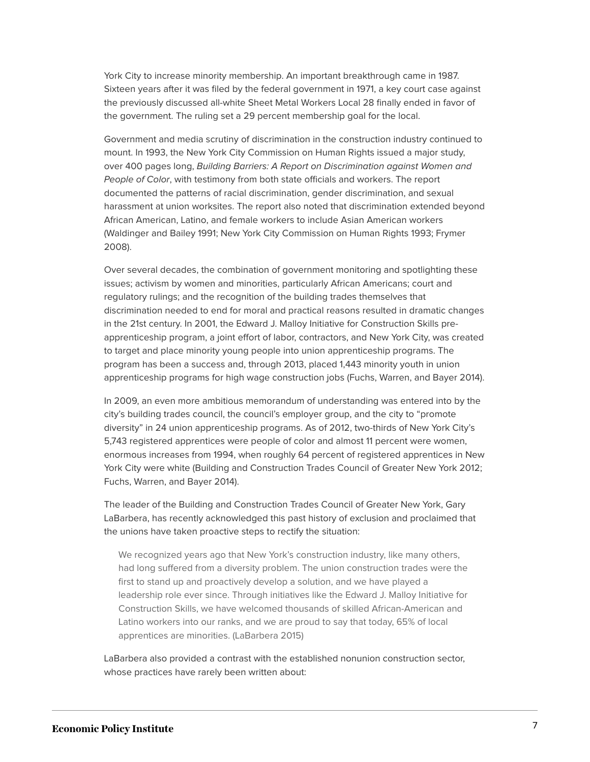York City to increase minority membership. An important breakthrough came in 1987. Sixteen years after it was filed by the federal government in 1971, a key court case against the previously discussed all-white Sheet Metal Workers Local 28 finally ended in favor of the government. The ruling set a 29 percent membership goal for the local.

Government and media scrutiny of discrimination in the construction industry continued to mount. In 1993, the New York City Commission on Human Rights issued a major study, over 400 pages long, *Building Barriers: A Report on Discrimination against Women and People of Color*, with testimony from both state officials and workers. The report documented the patterns of racial discrimination, gender discrimination, and sexual harassment at union worksites. The report also noted that discrimination extended beyond African American, Latino, and female workers to include Asian American workers (Waldinger and Bailey 1991; New York City Commission on Human Rights 1993; Frymer 2008).

Over several decades, the combination of government monitoring and spotlighting these issues; activism by women and minorities, particularly African Americans; court and regulatory rulings; and the recognition of the building trades themselves that discrimination needed to end for moral and practical reasons resulted in dramatic changes in the 21st century. In 2001, the Edward J. Malloy Initiative for Construction Skills preapprenticeship program, a joint effort of labor, contractors, and New York City, was created to target and place minority young people into union apprenticeship programs. The program has been a success and, through 2013, placed 1,443 minority youth in union apprenticeship programs for high wage construction jobs (Fuchs, Warren, and Bayer 2014).

In 2009, an even more ambitious memorandum of understanding was entered into by the city's building trades council, the council's employer group, and the city to "promote diversity" in 24 union apprenticeship programs. As of 2012, two-thirds of New York City's 5,743 registered apprentices were people of color and almost 11 percent were women, enormous increases from 1994, when roughly 64 percent of registered apprentices in New York City were white (Building and Construction Trades Council of Greater New York 2012; Fuchs, Warren, and Bayer 2014).

The leader of the Building and Construction Trades Council of Greater New York, Gary LaBarbera, has recently acknowledged this past history of exclusion and proclaimed that the unions have taken proactive steps to rectify the situation:

We recognized years ago that New York's construction industry, like many others, had long suffered from a diversity problem. The union construction trades were the first to stand up and proactively develop a solution, and we have played a leadership role ever since. Through initiatives like the Edward J. Malloy Initiative for Construction Skills, we have welcomed thousands of skilled African-American and Latino workers into our ranks, and we are proud to say that today, 65% of local apprentices are minorities. (LaBarbera 2015)

LaBarbera also provided a contrast with the established nonunion construction sector, whose practices have rarely been written about: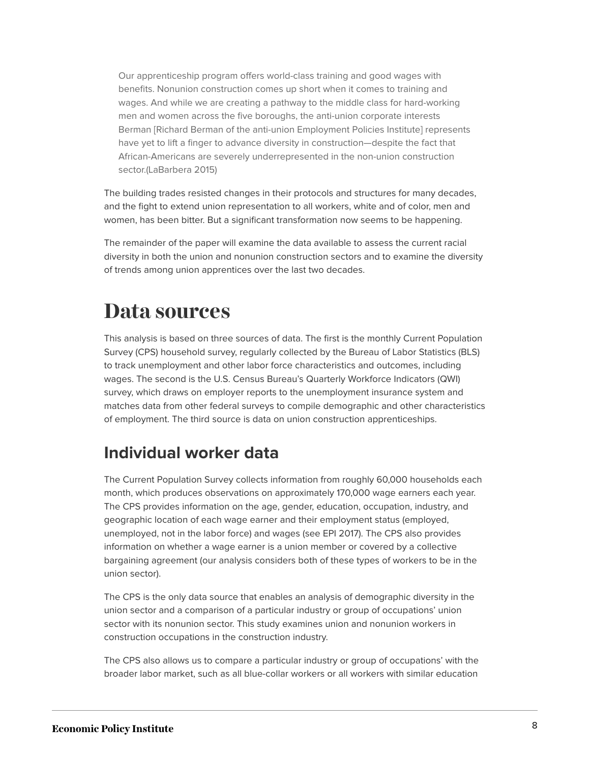Our apprenticeship program offers world-class training and good wages with benefits. Nonunion construction comes up short when it comes to training and wages. And while we are creating a pathway to the middle class for hard-working men and women across the five boroughs, the anti-union corporate interests Berman [Richard Berman of the anti-union Employment Policies Institute] represents have yet to lift a finger to advance diversity in construction—despite the fact that African-Americans are severely underrepresented in the non-union construction sector.(LaBarbera 2015)

The building trades resisted changes in their protocols and structures for many decades, and the fight to extend union representation to all workers, white and of color, men and women, has been bitter. But a significant transformation now seems to be happening.

The remainder of the paper will examine the data available to assess the current racial diversity in both the union and nonunion construction sectors and to examine the diversity of trends among union apprentices over the last two decades.

## <span id="page-8-0"></span>**Data sources**

This analysis is based on three sources of data. The first is the monthly Current Population Survey (CPS) household survey, regularly collected by the Bureau of Labor Statistics (BLS) to track unemployment and other labor force characteristics and outcomes, including wages. The second is the U.S. Census Bureau's Quarterly Workforce Indicators (QWI) survey, which draws on employer reports to the unemployment insurance system and matches data from other federal surveys to compile demographic and other characteristics of employment. The third source is data on union construction apprenticeships.

### **Individual worker data**

The Current Population Survey collects information from roughly 60,000 households each month, which produces observations on approximately 170,000 wage earners each year. The CPS provides information on the age, gender, education, occupation, industry, and geographic location of each wage earner and their employment status (employed, unemployed, not in the labor force) and wages (see EPI 2017). The CPS also provides information on whether a wage earner is a union member or covered by a collective bargaining agreement (our analysis considers both of these types of workers to be in the union sector).

The CPS is the only data source that enables an analysis of demographic diversity in the union sector and a comparison of a particular industry or group of occupations' union sector with its nonunion sector. This study examines union and nonunion workers in construction occupations in the construction industry.

The CPS also allows us to compare a particular industry or group of occupations' with the broader labor market, such as all blue-collar workers or all workers with similar education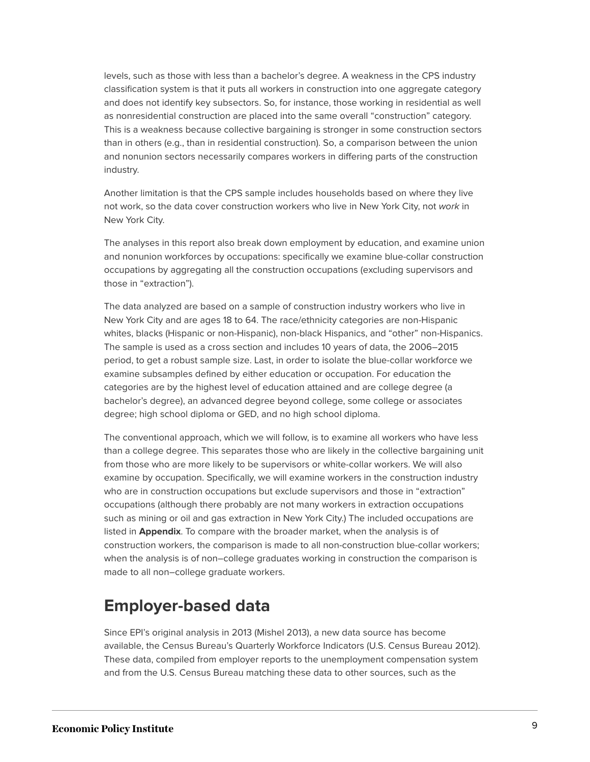levels, such as those with less than a bachelor's degree. A weakness in the CPS industry classification system is that it puts all workers in construction into one aggregate category and does not identify key subsectors. So, for instance, those working in residential as well as nonresidential construction are placed into the same overall "construction" category. This is a weakness because collective bargaining is stronger in some construction sectors than in others (e.g., than in residential construction). So, a comparison between the union and nonunion sectors necessarily compares workers in differing parts of the construction industry.

Another limitation is that the CPS sample includes households based on where they live not work, so the data cover construction workers who live in New York City, not *work* in New York City.

The analyses in this report also break down employment by education, and examine union and nonunion workforces by occupations: specifically we examine blue-collar construction occupations by aggregating all the construction occupations (excluding supervisors and those in "extraction").

The data analyzed are based on a sample of construction industry workers who live in New York City and are ages 18 to 64. The race/ethnicity categories are non-Hispanic whites, blacks (Hispanic or non-Hispanic), non-black Hispanics, and "other" non-Hispanics. The sample is used as a cross section and includes 10 years of data, the 2006–2015 period, to get a robust sample size. Last, in order to isolate the blue-collar workforce we examine subsamples defined by either education or occupation. For education the categories are by the highest level of education attained and are college degree (a bachelor's degree), an advanced degree beyond college, some college or associates degree; high school diploma or GED, and no high school diploma.

The conventional approach, which we will follow, is to examine all workers who have less than a college degree. This separates those who are likely in the collective bargaining unit from those who are more likely to be supervisors or white-collar workers. We will also examine by occupation. Specifically, we will examine workers in the construction industry who are in construction occupations but exclude supervisors and those in "extraction" occupations (although there probably are not many workers in extraction occupations such as mining or oil and gas extraction in New York City.) The included occupations are listed in **Appendix**. To compare with the broader market, when the analysis is of construction workers, the comparison is made to all non-construction blue-collar workers; when the analysis is of non–college graduates working in construction the comparison is made to all non–college graduate workers.

### **Employer-based data**

Since EPI's original analysis in 2013 (Mishel 2013), a new data source has become available, the Census Bureau's Quarterly Workforce Indicators (U.S. Census Bureau 2012). These data, compiled from employer reports to the unemployment compensation system and from the U.S. Census Bureau matching these data to other sources, such as the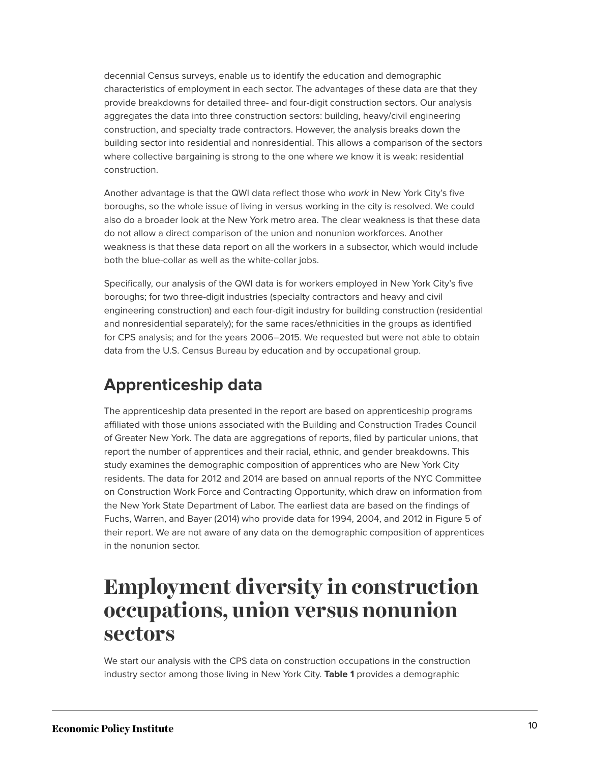decennial Census surveys, enable us to identify the education and demographic characteristics of employment in each sector. The advantages of these data are that they provide breakdowns for detailed three- and four-digit construction sectors. Our analysis aggregates the data into three construction sectors: building, heavy/civil engineering construction, and specialty trade contractors. However, the analysis breaks down the building sector into residential and nonresidential. This allows a comparison of the sectors where collective bargaining is strong to the one where we know it is weak: residential construction.

Another advantage is that the QWI data reflect those who *work* in New York City's five boroughs, so the whole issue of living in versus working in the city is resolved. We could also do a broader look at the New York metro area. The clear weakness is that these data do not allow a direct comparison of the union and nonunion workforces. Another weakness is that these data report on all the workers in a subsector, which would include both the blue-collar as well as the white-collar jobs.

Specifically, our analysis of the QWI data is for workers employed in New York City's five boroughs; for two three-digit industries (specialty contractors and heavy and civil engineering construction) and each four-digit industry for building construction (residential and nonresidential separately); for the same races/ethnicities in the groups as identified for CPS analysis; and for the years 2006–2015. We requested but were not able to obtain data from the U.S. Census Bureau by education and by occupational group.

### **Apprenticeship data**

The apprenticeship data presented in the report are based on apprenticeship programs affiliated with those unions associated with the Building and Construction Trades Council of Greater New York. The data are aggregations of reports, filed by particular unions, that report the number of apprentices and their racial, ethnic, and gender breakdowns. This study examines the demographic composition of apprentices who are New York City residents. The data for 2012 and 2014 are based on annual reports of the NYC Committee on Construction Work Force and Contracting Opportunity, which draw on information from the New York State Department of Labor. The earliest data are based on the findings of Fuchs, Warren, and Bayer (2014) who provide data for 1994, 2004, and 2012 in Figure 5 of their report. We are not aware of any data on the demographic composition of apprentices in the nonunion sector.

## <span id="page-10-0"></span>**Employment diversity in construction occupations, union versus nonunion sectors**

We start our analysis with the CPS data on construction occupations in the construction industry sector among those living in New York City. **Table 1** provides a demographic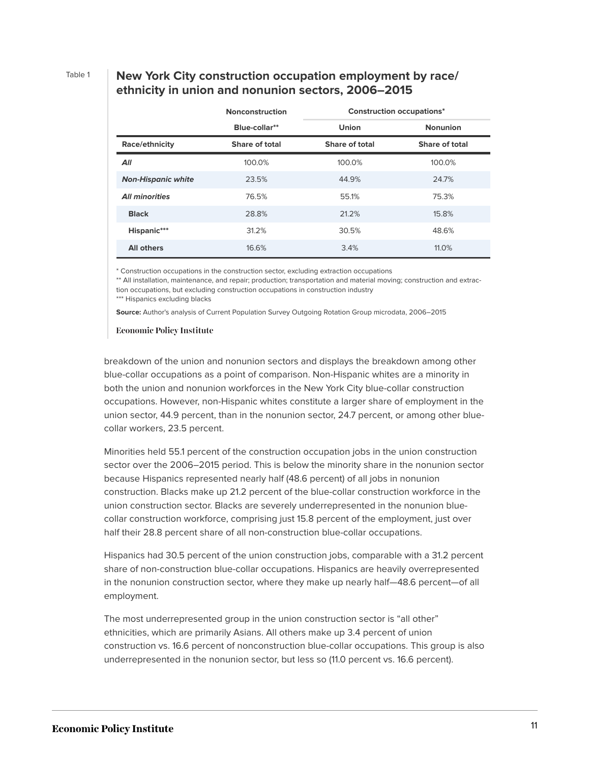### Table 1 **New York City construction occupation employment by race/ ethnicity in union and nonunion sectors, 2006–2015**

|                           | <b>Nonconstruction</b> | <b>Construction occupations*</b> |                 |
|---------------------------|------------------------|----------------------------------|-----------------|
|                           | Blue-collar**          | <b>Union</b>                     | <b>Nonunion</b> |
| Race/ethnicity            | Share of total         | Share of total                   | Share of total  |
| All                       | 100.0%                 | 100.0%                           | 100.0%          |
| <b>Non-Hispanic white</b> | 23.5%                  | 44.9%                            | 24.7%           |
| <b>All minorities</b>     | 76.5%                  | 55.1%                            | 75.3%           |
| <b>Black</b>              | 28.8%                  | 21.2%                            | 15.8%           |
| Hispanic***               | 31.2%                  | 30.5%                            | 48.6%           |
| <b>All others</b>         | 16.6%                  | 3.4%                             | 11.0%           |

\* Construction occupations in the construction sector, excluding extraction occupations

\*\* All installation, maintenance, and repair; production; transportation and material moving; construction and extraction occupations, but excluding construction occupations in construction industry

\*\*\* Hispanics excluding blacks

**Source:** Author's analysis of Current Population Survey Outgoing Rotation Group microdata, 2006–2015

#### **Economic Policy Institute**

breakdown of the union and nonunion sectors and displays the breakdown among other blue-collar occupations as a point of comparison. Non-Hispanic whites are a minority in both the union and nonunion workforces in the New York City blue-collar construction occupations. However, non-Hispanic whites constitute a larger share of employment in the union sector, 44.9 percent, than in the nonunion sector, 24.7 percent, or among other bluecollar workers, 23.5 percent.

Minorities held 55.1 percent of the construction occupation jobs in the union construction sector over the 2006–2015 period. This is below the minority share in the nonunion sector because Hispanics represented nearly half (48.6 percent) of all jobs in nonunion construction. Blacks make up 21.2 percent of the blue-collar construction workforce in the union construction sector. Blacks are severely underrepresented in the nonunion bluecollar construction workforce, comprising just 15.8 percent of the employment, just over half their 28.8 percent share of all non-construction blue-collar occupations.

Hispanics had 30.5 percent of the union construction jobs, comparable with a 31.2 percent share of non-construction blue-collar occupations. Hispanics are heavily overrepresented in the nonunion construction sector, where they make up nearly half—48.6 percent—of all employment.

The most underrepresented group in the union construction sector is "all other" ethnicities, which are primarily Asians. All others make up 3.4 percent of union construction vs. 16.6 percent of nonconstruction blue-collar occupations. This group is also underrepresented in the nonunion sector, but less so (11.0 percent vs. 16.6 percent).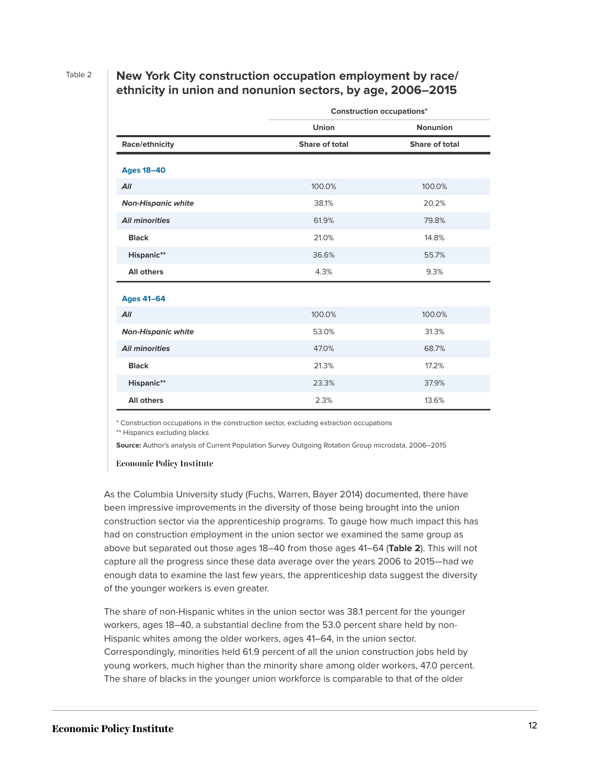Table 2 **New York City construction occupation employment by race/ ethnicity in union and nonunion sectors, by age, 2006–2015**

|                           | <b>Construction occupations*</b> |                       |  |  |
|---------------------------|----------------------------------|-----------------------|--|--|
|                           | Union                            | <b>Nonunion</b>       |  |  |
| Race/ethnicity            | Share of total                   | <b>Share of total</b> |  |  |
|                           |                                  |                       |  |  |
| <b>Ages 18-40</b>         |                                  |                       |  |  |
| All                       | 100.0%                           | 100.0%                |  |  |
| <b>Non-Hispanic white</b> | 38.1%                            | 20.2%                 |  |  |
| <b>All minorities</b>     | 61.9%                            | 79.8%                 |  |  |
| <b>Black</b>              | 21.0%                            | 14.8%                 |  |  |
| Hispanic**                | 36.6%                            | 55.7%                 |  |  |
| <b>All others</b>         | 4.3%                             | 9.3%                  |  |  |
| <b>Ages 41-64</b>         |                                  |                       |  |  |
| All                       | 100.0%                           | 100.0%                |  |  |
|                           |                                  |                       |  |  |
| <b>Non-Hispanic white</b> | 53.0%                            | 31.3%                 |  |  |
| <b>All minorities</b>     | 47.0%                            | 68.7%                 |  |  |
| <b>Black</b>              | 21.3%                            | 17.2%                 |  |  |
| Hispanic**                | 23.3%                            | 37.9%                 |  |  |
| <b>All others</b>         | 2.3%                             | 13.6%                 |  |  |

\* Construction occupations in the construction sector, excluding extraction occupations

\*\* Hispanics excluding blacks

**Source:** Author's analysis of Current Population Survey Outgoing Rotation Group microdata, 2006–2015

#### **Economic Policy Institute**

As the Columbia University study (Fuchs, Warren, Bayer 2014) documented, there have been impressive improvements in the diversity of those being brought into the union construction sector via the apprenticeship programs. To gauge how much impact this has had on construction employment in the union sector we examined the same group as above but separated out those ages 18–40 from those ages 41–64 (**Table 2**). This will not capture all the progress since these data average over the years 2006 to 2015—had we enough data to examine the last few years, the apprenticeship data suggest the diversity of the younger workers is even greater.

The share of non-Hispanic whites in the union sector was 38.1 percent for the younger workers, ages 18–40, a substantial decline from the 53.0 percent share held by non-Hispanic whites among the older workers, ages 41–64, in the union sector. Correspondingly, minorities held 61.9 percent of all the union construction jobs held by young workers, much higher than the minority share among older workers, 47.0 percent. The share of blacks in the younger union workforce is comparable to that of the older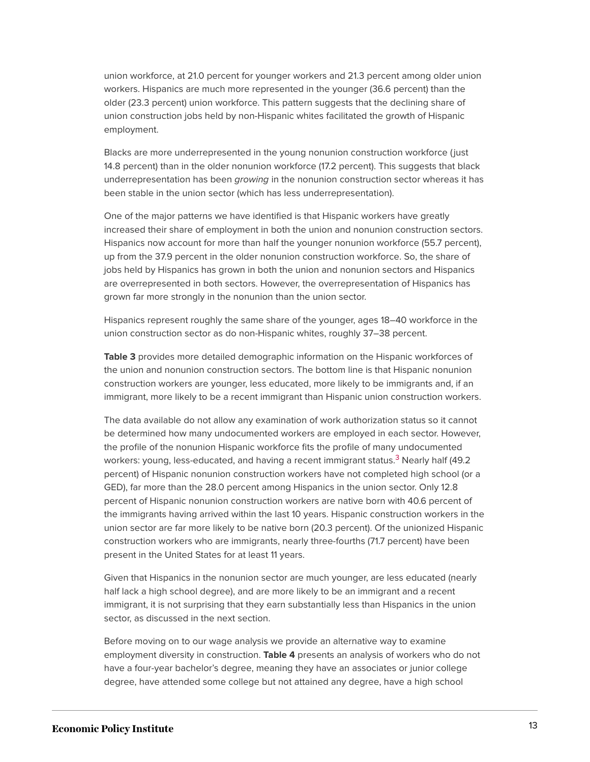union workforce, at 21.0 percent for younger workers and 21.3 percent among older union workers. Hispanics are much more represented in the younger (36.6 percent) than the older (23.3 percent) union workforce. This pattern suggests that the declining share of union construction jobs held by non-Hispanic whites facilitated the growth of Hispanic employment.

Blacks are more underrepresented in the young nonunion construction workforce (just 14.8 percent) than in the older nonunion workforce (17.2 percent). This suggests that black underrepresentation has been *growing* in the nonunion construction sector whereas it has been stable in the union sector (which has less underrepresentation).

One of the major patterns we have identified is that Hispanic workers have greatly increased their share of employment in both the union and nonunion construction sectors. Hispanics now account for more than half the younger nonunion workforce (55.7 percent), up from the 37.9 percent in the older nonunion construction workforce. So, the share of jobs held by Hispanics has grown in both the union and nonunion sectors and Hispanics are overrepresented in both sectors. However, the overrepresentation of Hispanics has grown far more strongly in the nonunion than the union sector.

Hispanics represent roughly the same share of the younger, ages 18–40 workforce in the union construction sector as do non-Hispanic whites, roughly 37–38 percent.

**Table 3** provides more detailed demographic information on the Hispanic workforces of the union and nonunion construction sectors. The bottom line is that Hispanic nonunion construction workers are younger, less educated, more likely to be immigrants and, if an immigrant, more likely to be a recent immigrant than Hispanic union construction workers.

<span id="page-13-0"></span>The data available do not allow any examination of work authorization status so it cannot be determined how many undocumented workers are employed in each sector. However, the profile of the nonunion Hispanic workforce fits the profile of many undocumented workers: young, less-educated, and having a recent immigrant status.<sup>[3](#page-25-1)</sup> Nearly half (49.2 percent) of Hispanic nonunion construction workers have not completed high school (or a GED), far more than the 28.0 percent among Hispanics in the union sector. Only 12.8 percent of Hispanic nonunion construction workers are native born with 40.6 percent of the immigrants having arrived within the last 10 years. Hispanic construction workers in the union sector are far more likely to be native born (20.3 percent). Of the unionized Hispanic construction workers who are immigrants, nearly three-fourths (71.7 percent) have been present in the United States for at least 11 years.

Given that Hispanics in the nonunion sector are much younger, are less educated (nearly half lack a high school degree), and are more likely to be an immigrant and a recent immigrant, it is not surprising that they earn substantially less than Hispanics in the union sector, as discussed in the next section.

Before moving on to our wage analysis we provide an alternative way to examine employment diversity in construction. **Table 4** presents an analysis of workers who do not have a four-year bachelor's degree, meaning they have an associates or junior college degree, have attended some college but not attained any degree, have a high school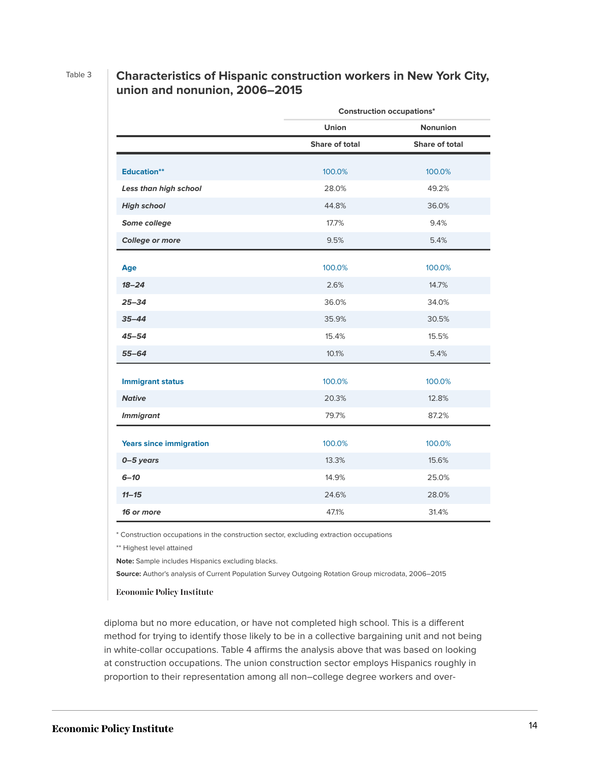### Table 3 **Characteristics of Hispanic construction workers in New York City, union and nonunion, 2006–2015**

|                                | <b>Construction occupations*</b> |                 |  |  |
|--------------------------------|----------------------------------|-----------------|--|--|
|                                | <b>Union</b>                     | <b>Nonunion</b> |  |  |
|                                | <b>Share of total</b>            | Share of total  |  |  |
|                                |                                  |                 |  |  |
| <b>Education**</b>             | 100.0%                           | 100.0%          |  |  |
| Less than high school          | 28.0%                            | 49.2%           |  |  |
| <b>High school</b>             | 44.8%                            | 36.0%           |  |  |
| Some college                   | 17.7%                            | 9.4%            |  |  |
| College or more                | 9.5%                             | 5.4%            |  |  |
|                                |                                  |                 |  |  |
| Age                            | 100.0%                           | 100.0%          |  |  |
| $18 - 24$                      | 2.6%                             | 14.7%           |  |  |
| $25 - 34$                      | 36.0%                            | 34.0%           |  |  |
| $35 - 44$                      | 35.9%                            | 30.5%           |  |  |
| $45 - 54$                      | 15.4%                            | 15.5%           |  |  |
| $55 - 64$                      | 10.1%                            | 5.4%            |  |  |
|                                | 100.0%                           | 100.0%          |  |  |
| <b>Immigrant status</b>        |                                  |                 |  |  |
| <b>Native</b>                  | 20.3%                            | 12.8%           |  |  |
| <b>Immigrant</b>               | 79.7%                            | 87.2%           |  |  |
| <b>Years since immigration</b> | 100.0%                           | 100.0%          |  |  |
| 0-5 years                      | 13.3%                            | 15.6%           |  |  |
| $6 - 10$                       | 14.9%                            | 25.0%           |  |  |
|                                |                                  |                 |  |  |
| $11 - 15$                      | 24.6%                            | 28.0%           |  |  |
| 16 or more                     | 47.1%                            | 31.4%           |  |  |

\* Construction occupations in the construction sector, excluding extraction occupations

\*\* Highest level attained

**Note:** Sample includes Hispanics excluding blacks.

**Source:** Author's analysis of Current Population Survey Outgoing Rotation Group microdata, 2006–2015

#### **Economic Policy Institute**

diploma but no more education, or have not completed high school. This is a different method for trying to identify those likely to be in a collective bargaining unit and not being in white-collar occupations. Table 4 affirms the analysis above that was based on looking at construction occupations. The union construction sector employs Hispanics roughly in proportion to their representation among all non–college degree workers and over-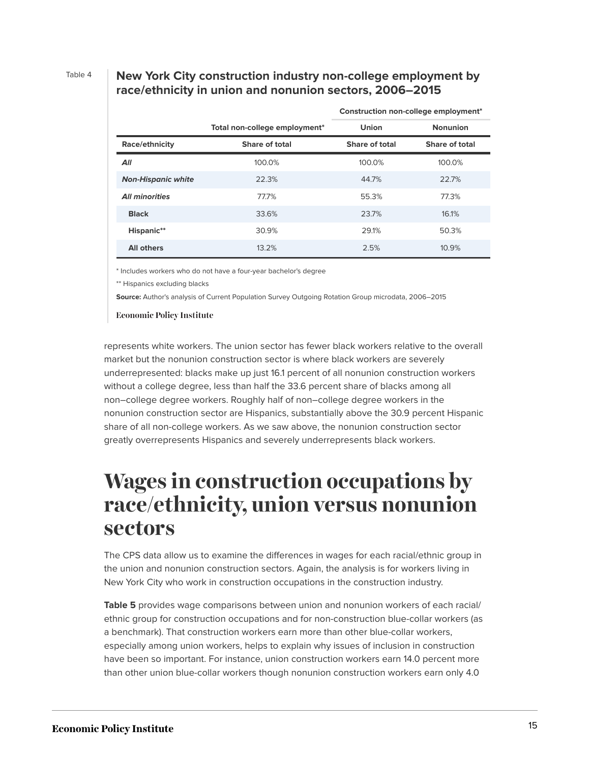#### Table 4 **New York City construction industry non-college employment by race/ethnicity in union and nonunion sectors, 2006–2015**

**Construction non-college employment\***

|                           |                               | Construction non-college employment |                       |
|---------------------------|-------------------------------|-------------------------------------|-----------------------|
|                           | Total non-college employment* | <b>Union</b>                        | <b>Nonunion</b>       |
| Race/ethnicity            | Share of total                | Share of total                      | <b>Share of total</b> |
| All                       | 100.0%                        | 100.0%                              | 100.0%                |
| <b>Non-Hispanic white</b> | 22.3%                         | 44.7%                               | 22.7%                 |
| <b>All minorities</b>     | 77.7%                         | 55.3%                               | 77.3%                 |
| <b>Black</b>              | 33.6%                         | 23.7%                               | 16.1%                 |
| Hispanic**                | 30.9%                         | 29.1%                               | 50.3%                 |
| <b>All others</b>         | 13.2%                         | 2.5%                                | 10.9%                 |

\* Includes workers who do not have a four-year bachelor's degree

\*\* Hispanics excluding blacks

**Source:** Author's analysis of Current Population Survey Outgoing Rotation Group microdata, 2006–2015

**Economic Policy Institute** 

represents white workers. The union sector has fewer black workers relative to the overall market but the nonunion construction sector is where black workers are severely underrepresented: blacks make up just 16.1 percent of all nonunion construction workers without a college degree, less than half the 33.6 percent share of blacks among all non–college degree workers. Roughly half of non–college degree workers in the nonunion construction sector are Hispanics, substantially above the 30.9 percent Hispanic share of all non-college workers. As we saw above, the nonunion construction sector greatly overrepresents Hispanics and severely underrepresents black workers.

### <span id="page-15-0"></span>**Wages in construction occupations by race/ethnicity, union versus nonunion sectors**

The CPS data allow us to examine the differences in wages for each racial/ethnic group in the union and nonunion construction sectors. Again, the analysis is for workers living in New York City who work in construction occupations in the construction industry.

**Table 5** provides wage comparisons between union and nonunion workers of each racial/ ethnic group for construction occupations and for non-construction blue-collar workers (as a benchmark). That construction workers earn more than other blue-collar workers, especially among union workers, helps to explain why issues of inclusion in construction have been so important. For instance, union construction workers earn 14.0 percent more than other union blue-collar workers though nonunion construction workers earn only 4.0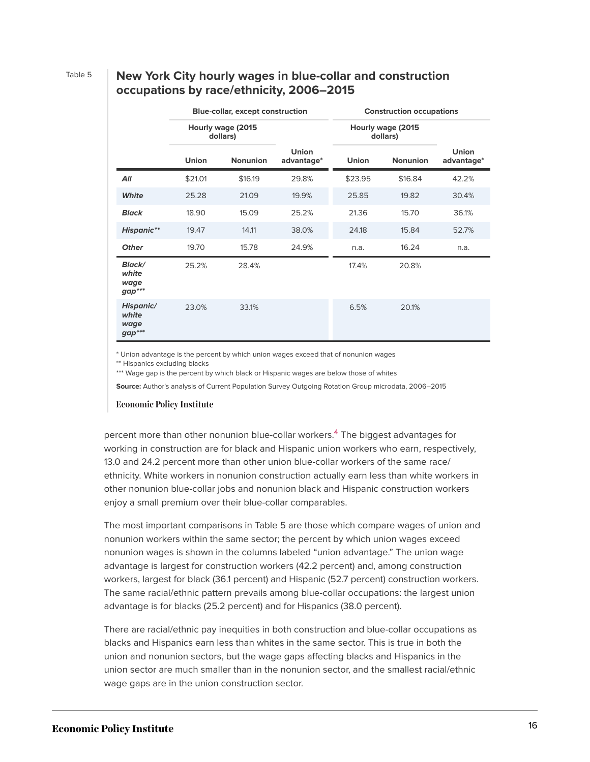### Table 5 **New York City hourly wages in blue-collar and construction occupations by race/ethnicity, 2006–2015**

|                                            | <b>Blue-collar, except construction</b> |                 | <b>Construction occupations</b> |                                |                 |                     |
|--------------------------------------------|-----------------------------------------|-----------------|---------------------------------|--------------------------------|-----------------|---------------------|
|                                            | Hourly wage (2015<br>dollars)           |                 |                                 | Hourly wage (2015)<br>dollars) |                 |                     |
|                                            | Union                                   | <b>Nonunion</b> | <b>Union</b><br>advantage*      | <b>Union</b>                   | <b>Nonunion</b> | Union<br>advantage* |
| All                                        | \$21.01                                 | \$16.19         | 29.8%                           | \$23.95                        | \$16.84         | 42.2%               |
| White                                      | 25.28                                   | 21.09           | 19.9%                           | 25.85                          | 19.82           | 30.4%               |
| <b>Black</b>                               | 18.90                                   | 15.09           | 25.2%                           | 21.36                          | 15.70           | 36.1%               |
| <b>Hispanic**</b>                          | 19.47                                   | 14.11           | 38.0%                           | 24.18                          | 15.84           | 52.7%               |
| <b>Other</b>                               | 19.70                                   | 15.78           | 24.9%                           | n.a.                           | 16.24           | n.a.                |
| <b>Black/</b><br>white<br>wage<br>$gap***$ | 25.2%                                   | 28.4%           |                                 | 17.4%                          | 20.8%           |                     |
| Hispanic/<br>white<br>wage<br>$gap***$     | 23.0%                                   | 33.1%           |                                 | 6.5%                           | 20.1%           |                     |

\* Union advantage is the percent by which union wages exceed that of nonunion wages

\*\* Hispanics excluding blacks

\*\*\* Wage gap is the percent by which black or Hispanic wages are below those of whites

**Source:** Author's analysis of Current Population Survey Outgoing Rotation Group microdata, 2006–2015

#### **Economic Policy Institute**

<span id="page-16-0"></span>percent more than other nonunion blue-collar workers.<sup>[4](#page-25-2)</sup> The biggest advantages for working in construction are for black and Hispanic union workers who earn, respectively, 13.0 and 24.2 percent more than other union blue-collar workers of the same race/ ethnicity. White workers in nonunion construction actually earn less than white workers in other nonunion blue-collar jobs and nonunion black and Hispanic construction workers enjoy a small premium over their blue-collar comparables.

The most important comparisons in Table 5 are those which compare wages of union and nonunion workers within the same sector; the percent by which union wages exceed nonunion wages is shown in the columns labeled "union advantage." The union wage advantage is largest for construction workers (42.2 percent) and, among construction workers, largest for black (36.1 percent) and Hispanic (52.7 percent) construction workers. The same racial/ethnic pattern prevails among blue-collar occupations: the largest union advantage is for blacks (25.2 percent) and for Hispanics (38.0 percent).

There are racial/ethnic pay inequities in both construction and blue-collar occupations as blacks and Hispanics earn less than whites in the same sector. This is true in both the union and nonunion sectors, but the wage gaps affecting blacks and Hispanics in the union sector are much smaller than in the nonunion sector, and the smallest racial/ethnic wage gaps are in the union construction sector.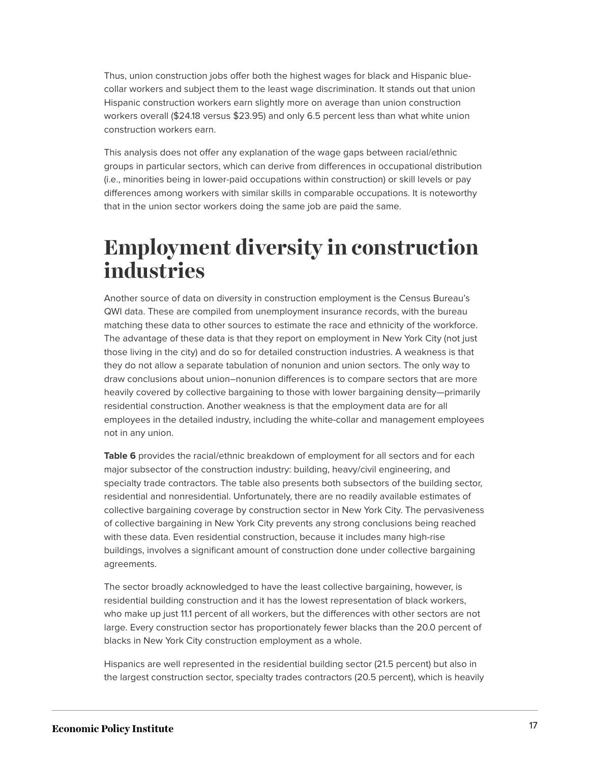Thus, union construction jobs offer both the highest wages for black and Hispanic bluecollar workers and subject them to the least wage discrimination. It stands out that union Hispanic construction workers earn slightly more on average than union construction workers overall (\$24.18 versus \$23.95) and only 6.5 percent less than what white union construction workers earn.

This analysis does not offer any explanation of the wage gaps between racial/ethnic groups in particular sectors, which can derive from differences in occupational distribution (i.e., minorities being in lower-paid occupations within construction) or skill levels or pay differences among workers with similar skills in comparable occupations. It is noteworthy that in the union sector workers doing the same job are paid the same.

## <span id="page-17-0"></span>**Employment diversity in construction industries**

Another source of data on diversity in construction employment is the Census Bureau's QWI data. These are compiled from unemployment insurance records, with the bureau matching these data to other sources to estimate the race and ethnicity of the workforce. The advantage of these data is that they report on employment in New York City (not just those living in the city) and do so for detailed construction industries. A weakness is that they do not allow a separate tabulation of nonunion and union sectors. The only way to draw conclusions about union–nonunion differences is to compare sectors that are more heavily covered by collective bargaining to those with lower bargaining density—primarily residential construction. Another weakness is that the employment data are for all employees in the detailed industry, including the white-collar and management employees not in any union.

Table 6 provides the racial/ethnic breakdown of employment for all sectors and for each major subsector of the construction industry: building, heavy/civil engineering, and specialty trade contractors. The table also presents both subsectors of the building sector, residential and nonresidential. Unfortunately, there are no readily available estimates of collective bargaining coverage by construction sector in New York City. The pervasiveness of collective bargaining in New York City prevents any strong conclusions being reached with these data. Even residential construction, because it includes many high-rise buildings, involves a significant amount of construction done under collective bargaining agreements.

The sector broadly acknowledged to have the least collective bargaining, however, is residential building construction and it has the lowest representation of black workers, who make up just 11.1 percent of all workers, but the differences with other sectors are not large. Every construction sector has proportionately fewer blacks than the 20.0 percent of blacks in New York City construction employment as a whole.

Hispanics are well represented in the residential building sector (21.5 percent) but also in the largest construction sector, specialty trades contractors (20.5 percent), which is heavily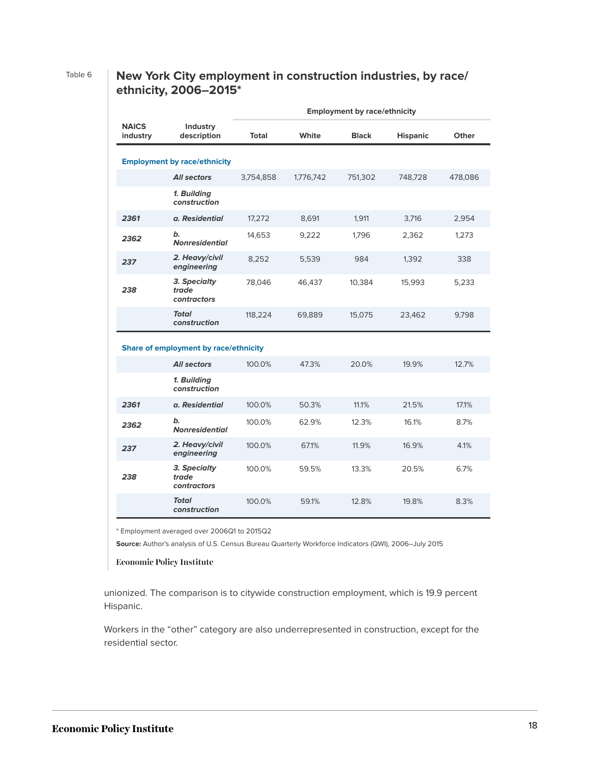### Table 6 **New York City employment in construction industries, by race/ ethnicity, 2006–2015\***

|                          |                                       | <b>Employment by race/ethnicity</b> |           |              |                 |         |
|--------------------------|---------------------------------------|-------------------------------------|-----------|--------------|-----------------|---------|
| <b>NAICS</b><br>industry | Industry<br>description               | <b>Total</b>                        | White     | <b>Black</b> | <b>Hispanic</b> | Other   |
|                          | <b>Employment by race/ethnicity</b>   |                                     |           |              |                 |         |
|                          | <b>All sectors</b>                    | 3,754,858                           | 1,776,742 | 751,302      | 748,728         | 478,086 |
|                          | 1. Building<br>construction           |                                     |           |              |                 |         |
| 2361                     | a. Residential                        | 17,272                              | 8,691     | 1,911        | 3,716           | 2,954   |
| 2362                     | b.<br><b>Nonresidential</b>           | 14,653                              | 9,222     | 1,796        | 2,362           | 1,273   |
| 237                      | 2. Heavy/civil<br>engineering         | 8,252                               | 5,539     | 984          | 1,392           | 338     |
| 238                      | 3. Specialty<br>trade<br>contractors  | 78,046                              | 46,437    | 10,384       | 15,993          | 5,233   |
|                          | <b>Total</b><br>construction          | 118,224                             | 69,889    | 15,075       | 23,462          | 9,798   |
|                          | Share of employment by race/ethnicity |                                     |           |              |                 |         |
|                          | <b>All sectors</b>                    | 100.0%                              | 47.3%     | 20.0%        | 19.9%           | 12.7%   |
|                          | 1. Building<br>construction           |                                     |           |              |                 |         |
| 2361                     | a. Residential                        | 100.0%                              | 50.3%     | 11.1%        | 21.5%           | 17.1%   |
| 2362                     | b.<br><b>Nonresidential</b>           | 100.0%                              | 62.9%     | 12.3%        | 16.1%           | 8.7%    |
| 237                      | 2. Heavy/civil<br>engineering         | 100.0%                              | 67.1%     | 11.9%        | 16.9%           | 4.1%    |
| 238                      | 3. Specialty<br>trade<br>contractors  | 100.0%                              | 59.5%     | 13.3%        | 20.5%           | 6.7%    |
|                          | Total<br>construction                 | 100.0%                              | 59.1%     | 12.8%        | 19.8%           | 8.3%    |

\* Employment averaged over 2006Q1 to 2015Q2

**Source:** Author's analysis of U.S. Census Bureau Quarterly Workforce Indicators (QWI), 2006–July 2015

**Economic Policy Institute** 

unionized. The comparison is to citywide construction employment, which is 19.9 percent Hispanic.

Workers in the "other" category are also underrepresented in construction, except for the residential sector.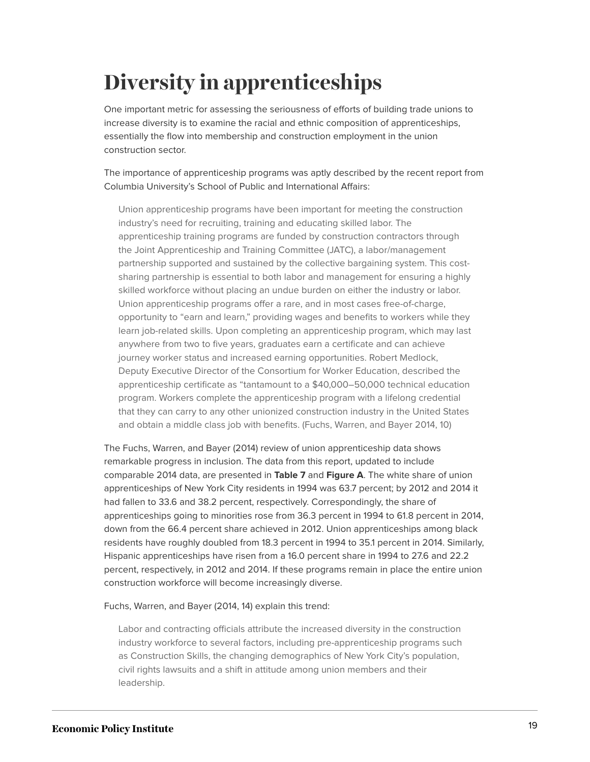# <span id="page-19-0"></span>**Diversity in apprenticeships**

One important metric for assessing the seriousness of efforts of building trade unions to increase diversity is to examine the racial and ethnic composition of apprenticeships, essentially the flow into membership and construction employment in the union construction sector.

The importance of apprenticeship programs was aptly described by the recent report from Columbia University's School of Public and International Affairs:

Union apprenticeship programs have been important for meeting the construction industry's need for recruiting, training and educating skilled labor. The apprenticeship training programs are funded by construction contractors through the Joint Apprenticeship and Training Committee (JATC), a labor/management partnership supported and sustained by the collective bargaining system. This costsharing partnership is essential to both labor and management for ensuring a highly skilled workforce without placing an undue burden on either the industry or labor. Union apprenticeship programs offer a rare, and in most cases free-of-charge, opportunity to "earn and learn," providing wages and benefits to workers while they learn job-related skills. Upon completing an apprenticeship program, which may last anywhere from two to five years, graduates earn a certificate and can achieve journey worker status and increased earning opportunities. Robert Medlock, Deputy Executive Director of the Consortium for Worker Education, described the apprenticeship certificate as "tantamount to a \$40,000–50,000 technical education program. Workers complete the apprenticeship program with a lifelong credential that they can carry to any other unionized construction industry in the United States and obtain a middle class job with benefits. (Fuchs, Warren, and Bayer 2014, 10)

The Fuchs, Warren, and Bayer (2014) review of union apprenticeship data shows remarkable progress in inclusion. The data from this report, updated to include comparable 2014 data, are presented in **Table 7** and **Figure A**. The white share of union apprenticeships of New York City residents in 1994 was 63.7 percent; by 2012 and 2014 it had fallen to 33.6 and 38.2 percent, respectively. Correspondingly, the share of apprenticeships going to minorities rose from 36.3 percent in 1994 to 61.8 percent in 2014, down from the 66.4 percent share achieved in 2012. Union apprenticeships among black residents have roughly doubled from 18.3 percent in 1994 to 35.1 percent in 2014. Similarly, Hispanic apprenticeships have risen from a 16.0 percent share in 1994 to 27.6 and 22.2 percent, respectively, in 2012 and 2014. If these programs remain in place the entire union construction workforce will become increasingly diverse.

Fuchs, Warren, and Bayer (2014, 14) explain this trend:

Labor and contracting officials attribute the increased diversity in the construction industry workforce to several factors, including pre-apprenticeship programs such as Construction Skills, the changing demographics of New York City's population, civil rights lawsuits and a shift in attitude among union members and their leadership.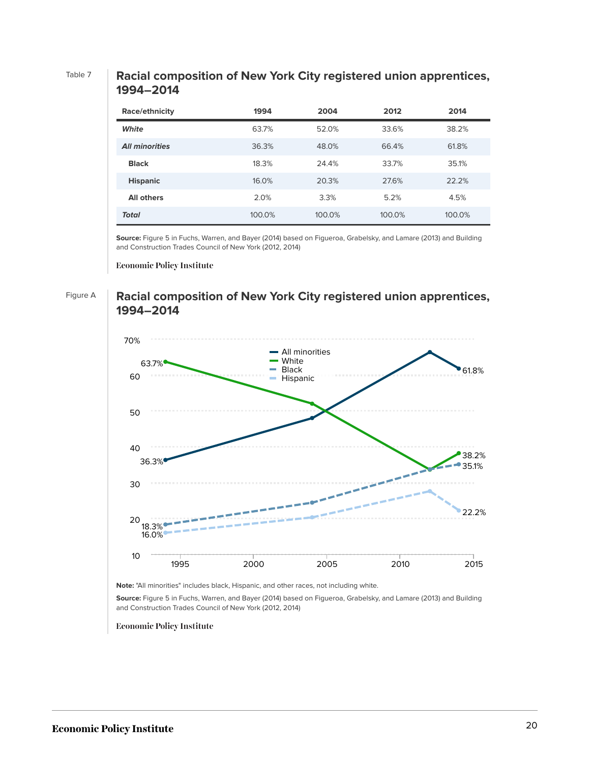### Table 7 **Racial composition of New York City registered union apprentices, 1994–2014**

| Race/ethnicity        | 1994   | 2004   | 2012   | 2014   |
|-----------------------|--------|--------|--------|--------|
| White                 | 63.7%  | 52.0%  | 33.6%  | 38.2%  |
| <b>All minorities</b> | 36.3%  | 48.0%  | 66.4%  | 61.8%  |
| <b>Black</b>          | 18.3%  | 24.4%  | 33.7%  | 35.1%  |
| <b>Hispanic</b>       | 16.0%  | 20.3%  | 27.6%  | 22.2%  |
| <b>All others</b>     | 2.0%   | 3.3%   | 5.2%   | 4.5%   |
| Total                 | 100.0% | 100.0% | 100.0% | 100.0% |

**Source:** Figure 5 in Fuchs, Warren, and Bayer (2014) based on Figueroa, Grabelsky, and Lamare (2013) and Building and Construction Trades Council of New York (2012, 2014)

**Economic Policy Institute** 

### Figure A **Racial composition of New York City registered union apprentices, 1994–2014**



**Note:** "All minorities" includes black, Hispanic, and other races, not including white.

**Source:** Figure 5 in Fuchs, Warren, and Bayer (2014) based on Figueroa, Grabelsky, and Lamare (2013) and Building and Construction Trades Council of New York (2012, 2014)

**Economic Policy Institute**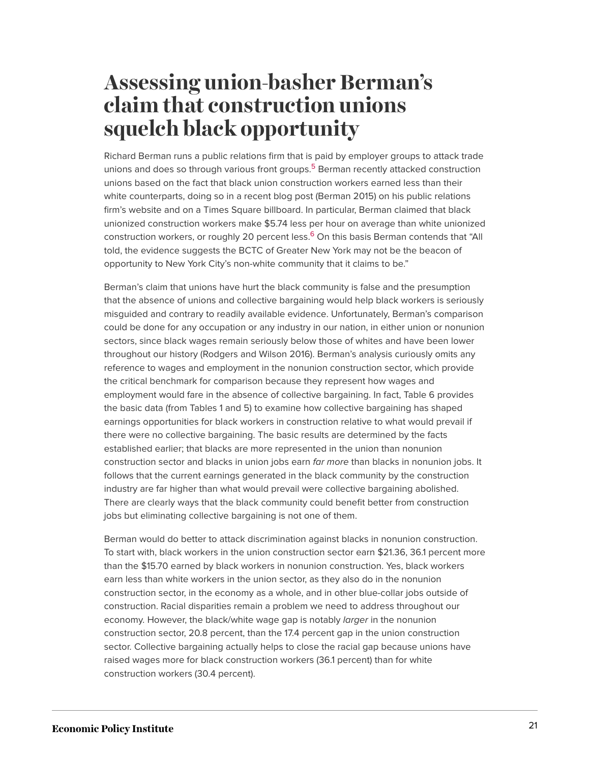## <span id="page-21-0"></span>**Assessing union-basher Berman's claim that construction unions squelch black opportunity**

<span id="page-21-1"></span>Richard Berman runs a public relations firm that is paid by employer groups to attack trade unions and does so through various front groups.<sup>[5](#page-25-3)</sup> Berman recently attacked construction unions based on the fact that black union construction workers earned less than their white counterparts, doing so in a recent blog post (Berman 2015) on his public relations firm's website and on a Times Square billboard. In particular, Berman claimed that black unionized construction workers make \$5.74 less per hour on average than white unionized construction workers, or roughly 20 percent less.<sup>[6](#page-25-4)</sup> On this basis Berman contends that "All told, the evidence suggests the BCTC of Greater New York may not be the beacon of opportunity to New York City's non-white community that it claims to be."

<span id="page-21-2"></span>Berman's claim that unions have hurt the black community is false and the presumption that the absence of unions and collective bargaining would help black workers is seriously misguided and contrary to readily available evidence. Unfortunately, Berman's comparison could be done for any occupation or any industry in our nation, in either union or nonunion sectors, since black wages remain seriously below those of whites and have been lower throughout our history (Rodgers and Wilson 2016). Berman's analysis curiously omits any reference to wages and employment in the nonunion construction sector, which provide the critical benchmark for comparison because they represent how wages and employment would fare in the absence of collective bargaining. In fact, Table 6 provides the basic data (from Tables 1 and 5) to examine how collective bargaining has shaped earnings opportunities for black workers in construction relative to what would prevail if there were no collective bargaining. The basic results are determined by the facts established earlier; that blacks are more represented in the union than nonunion construction sector and blacks in union jobs earn *far more* than blacks in nonunion jobs. It follows that the current earnings generated in the black community by the construction industry are far higher than what would prevail were collective bargaining abolished. There are clearly ways that the black community could benefit better from construction jobs but eliminating collective bargaining is not one of them.

Berman would do better to attack discrimination against blacks in nonunion construction. To start with, black workers in the union construction sector earn \$21.36, 36.1 percent more than the \$15.70 earned by black workers in nonunion construction. Yes, black workers earn less than white workers in the union sector, as they also do in the nonunion construction sector, in the economy as a whole, and in other blue-collar jobs outside of construction. Racial disparities remain a problem we need to address throughout our economy. However, the black/white wage gap is notably *larger* in the nonunion construction sector, 20.8 percent, than the 17.4 percent gap in the union construction sector. Collective bargaining actually helps to close the racial gap because unions have raised wages more for black construction workers (36.1 percent) than for white construction workers (30.4 percent).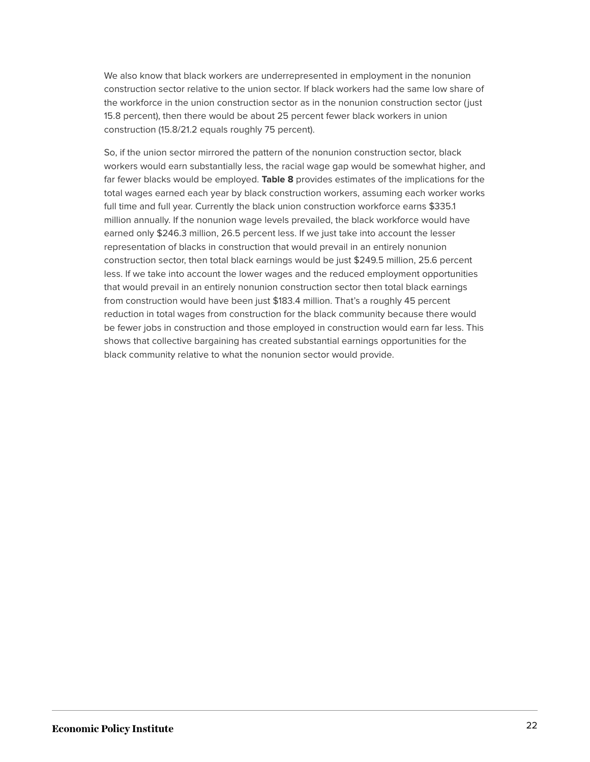We also know that black workers are underrepresented in employment in the nonunion construction sector relative to the union sector. If black workers had the same low share of the workforce in the union construction sector as in the nonunion construction sector (just 15.8 percent), then there would be about 25 percent fewer black workers in union construction (15.8/21.2 equals roughly 75 percent).

So, if the union sector mirrored the pattern of the nonunion construction sector, black workers would earn substantially less, the racial wage gap would be somewhat higher, and far fewer blacks would be employed. **Table 8** provides estimates of the implications for the total wages earned each year by black construction workers, assuming each worker works full time and full year. Currently the black union construction workforce earns \$335.1 million annually. If the nonunion wage levels prevailed, the black workforce would have earned only \$246.3 million, 26.5 percent less. If we just take into account the lesser representation of blacks in construction that would prevail in an entirely nonunion construction sector, then total black earnings would be just \$249.5 million, 25.6 percent less. If we take into account the lower wages and the reduced employment opportunities that would prevail in an entirely nonunion construction sector then total black earnings from construction would have been just \$183.4 million. That's a roughly 45 percent reduction in total wages from construction for the black community because there would be fewer jobs in construction and those employed in construction would earn far less. This shows that collective bargaining has created substantial earnings opportunities for the black community relative to what the nonunion sector would provide.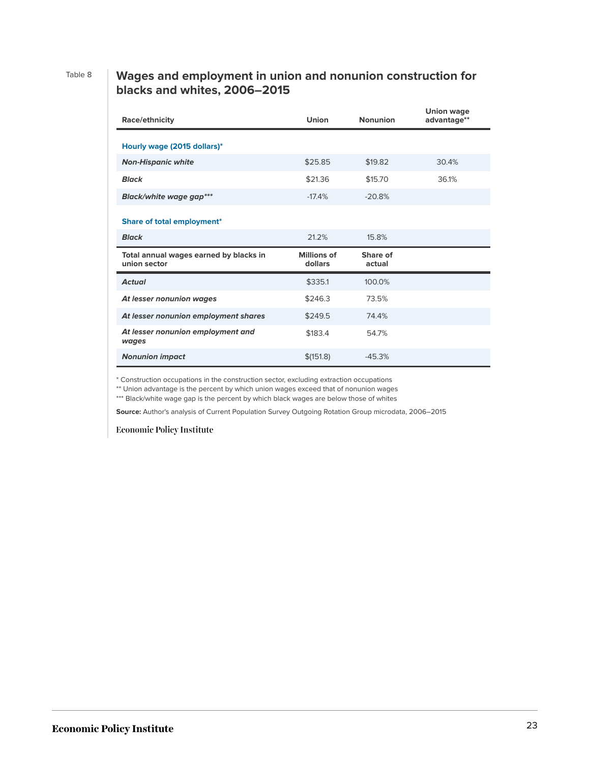### Table 8 **Wages and employment in union and nonunion construction for blacks and whites, 2006–2015**

| Race/ethnicity                                         | Union                  | <b>Nonunion</b>    | <b>Union wage</b><br>advantage** |
|--------------------------------------------------------|------------------------|--------------------|----------------------------------|
| Hourly wage (2015 dollars)*                            |                        |                    |                                  |
| <b>Non-Hispanic white</b>                              | \$25.85                | \$19.82            | 30.4%                            |
| <b>Black</b>                                           | \$21.36                | \$15.70            | 36.1%                            |
| Black/white wage gap***                                | $-17.4%$               | $-20.8%$           |                                  |
| Share of total employment*                             |                        |                    |                                  |
| <b>Black</b>                                           | 21.2%                  | 15.8%              |                                  |
| Total annual wages earned by blacks in<br>union sector | Millions of<br>dollars | Share of<br>actual |                                  |
| <b>Actual</b>                                          | \$335.1                | 100.0%             |                                  |
| At lesser nonunion wages                               | \$246.3                | 73.5%              |                                  |
| At lesser nonunion employment shares                   | \$249.5                | 74.4%              |                                  |
| At lesser nonunion employment and<br>wages             | \$183.4                | 54.7%              |                                  |
| <b>Nonunion impact</b>                                 | \$(151.8)              | $-45.3%$           |                                  |

\* Construction occupations in the construction sector, excluding extraction occupations

\*\* Union advantage is the percent by which union wages exceed that of nonunion wages

\*\*\* Black/white wage gap is the percent by which black wages are below those of whites

**Source:** Author's analysis of Current Population Survey Outgoing Rotation Group microdata, 2006–2015

**Economic Policy Institute**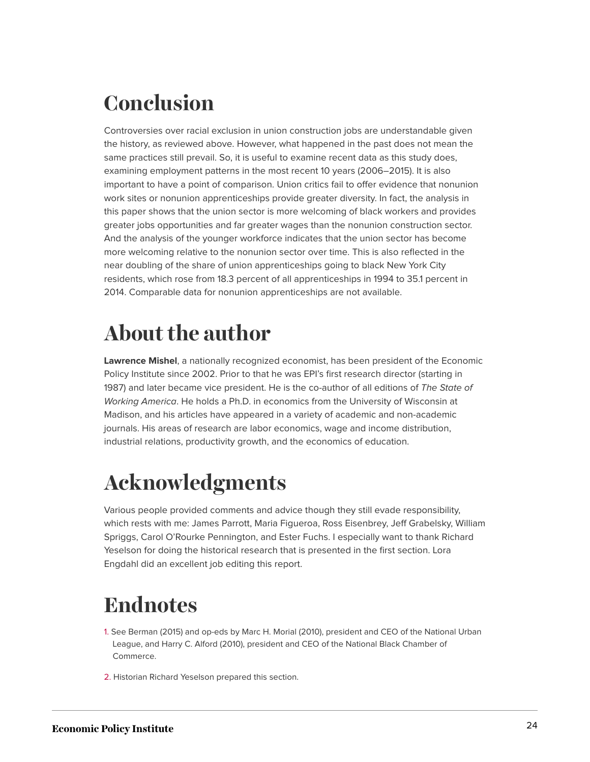# <span id="page-24-0"></span>**Conclusion**

Controversies over racial exclusion in union construction jobs are understandable given the history, as reviewed above. However, what happened in the past does not mean the same practices still prevail. So, it is useful to examine recent data as this study does, examining employment patterns in the most recent 10 years (2006–2015). It is also important to have a point of comparison. Union critics fail to offer evidence that nonunion work sites or nonunion apprenticeships provide greater diversity. In fact, the analysis in this paper shows that the union sector is more welcoming of black workers and provides greater jobs opportunities and far greater wages than the nonunion construction sector. And the analysis of the younger workforce indicates that the union sector has become more welcoming relative to the nonunion sector over time. This is also reflected in the near doubling of the share of union apprenticeships going to black New York City residents, which rose from 18.3 percent of all apprenticeships in 1994 to 35.1 percent in 2014. Comparable data for nonunion apprenticeships are not available.

# <span id="page-24-1"></span>**About the author**

**Lawrence Mishel**, a nationally recognized economist, has been president of the Economic Policy Institute since 2002. Prior to that he was EPI's first research director (starting in 1987) and later became vice president. He is the co-author of all editions of *The State of Working America*. He holds a Ph.D. in economics from the University of Wisconsin at Madison, and his articles have appeared in a variety of academic and non-academic journals. His areas of research are labor economics, wage and income distribution, industrial relations, productivity growth, and the economics of education.

# <span id="page-24-2"></span>**Acknowledgments**

Various people provided comments and advice though they still evade responsibility, which rests with me: James Parrott, Maria Figueroa, Ross Eisenbrey, Jeff Grabelsky, William Spriggs, Carol O'Rourke Pennington, and Ester Fuchs. I especially want to thank Richard Yeselson for doing the historical research that is presented in the first section. Lora Engdahl did an excellent job editing this report.

# <span id="page-24-3"></span>**Endnotes**

- <span id="page-24-4"></span>[1.](#page-1-1) See Berman (2015) and op-eds by Marc H. Morial (2010), president and CEO of the National Urban League, and Harry C. Alford (2010), president and CEO of the National Black Chamber of Commerce.
- <span id="page-24-5"></span>[2.](#page-4-1) Historian Richard Yeselson prepared this section.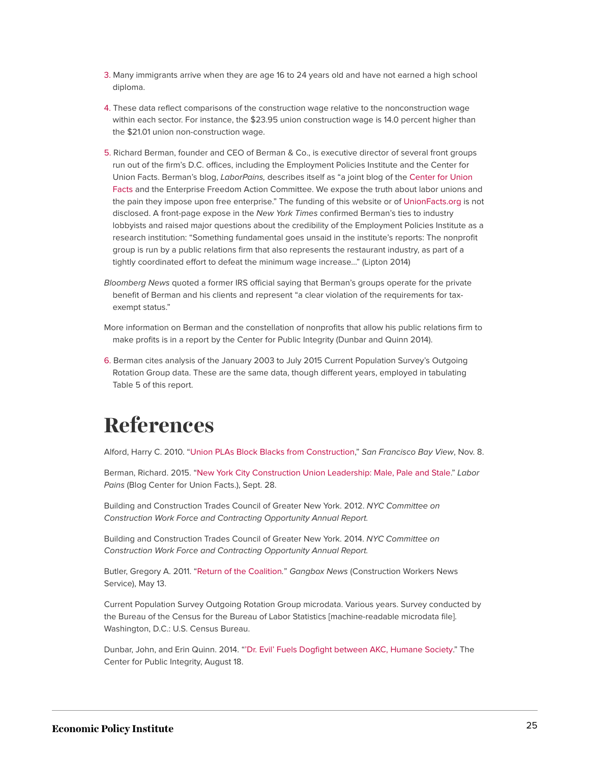- <span id="page-25-1"></span>[3.](#page-13-0) Many immigrants arrive when they are age 16 to 24 years old and have not earned a high school diploma.
- <span id="page-25-2"></span>[4.](#page-16-0) These data reflect comparisons of the construction wage relative to the nonconstruction wage within each sector. For instance, the \$23.95 union construction wage is 14.0 percent higher than the \$21.01 union non-construction wage.
- <span id="page-25-3"></span>[5.](#page-21-1) Richard Berman, founder and CEO of Berman & Co., is executive director of several front groups run out of the firm's D.C. offices, including the Employment Policies Institute and the Center for Union Facts. Berman's blog, *LaborPains,* describes itself as "a joint blog of the [Center for Union](http://unionfacts.com/) [Facts](http://unionfacts.com/) and the Enterprise Freedom Action Committee. We expose the truth about labor unions and the pain they impose upon free enterprise." The funding of this website or of [UnionFacts.org](http://unionfacts.org) is not disclosed. A front-page expose in the *New York Times* confirmed Berman's ties to industry lobbyists and raised major questions about the credibility of the Employment Policies Institute as a research institution: "Something fundamental goes unsaid in the institute's reports: The nonprofit group is run by a public relations firm that also represents the restaurant industry, as part of a tightly coordinated effort to defeat the minimum wage increase…" (Lipton 2014)
- *Bloomberg News* quoted a former IRS official saying that Berman's groups operate for the private benefit of Berman and his clients and represent "a clear violation of the requirements for taxexempt status."
- More information on Berman and the constellation of nonprofits that allow his public relations firm to make profits is in a report by the Center for Public Integrity (Dunbar and Quinn 2014).
- <span id="page-25-4"></span>[6.](#page-21-2) Berman cites analysis of the January 2003 to July 2015 Current Population Survey's Outgoing Rotation Group data. These are the same data, though different years, employed in tabulating Table 5 of this report.

## <span id="page-25-0"></span>**References**

Alford, Harry C. 2010. "[Union PLAs Block Blacks from Construction](http://sfbayview.com/2010/11/union-plas-block-blacks-from-construction/)," *San Francisco Bay View*, Nov. 8.

Berman, Richard. 2015. ["New York City Construction Union Leadership: Male, Pale and Stale.](http://laborpains.org/2015/09/28/nyc-construction-union-leadership-male-pale-and-stale/)" *Labor Pains* (Blog Center for Union Facts.), Sept. 28.

Building and Construction Trades Council of Greater New York. 2012. *NYC Committee on Construction Work Force and Contracting Opportunity Annual Report.*

Building and Construction Trades Council of Greater New York. 2014. *NYC Committee on Construction Work Force and Contracting Opportunity Annual Report.*

Butler, Gregory A. 2011. "[Return of the Coalition](http://gangboxnews.blogspot.com/2011/05/return-of-coalition-are-nycs-minority.html)*.*" *Gangbox News* (Construction Workers News Service), May 13.

Current Population Survey Outgoing Rotation Group microdata. Various years. Survey conducted by the Bureau of the Census for the Bureau of Labor Statistics [machine-readable microdata file]. Washington, D.C.: U.S. Census Bureau.

Dunbar, John, and Erin Quinn. 2014. ["'Dr. Evil' Fuels Dogfight between AKC, Humane Society](https://www.publicintegrity.org/2014/08/18/15244/dr-evil-fuels-dogfight-between-akc-humane-society)." The Center for Public Integrity, August 18.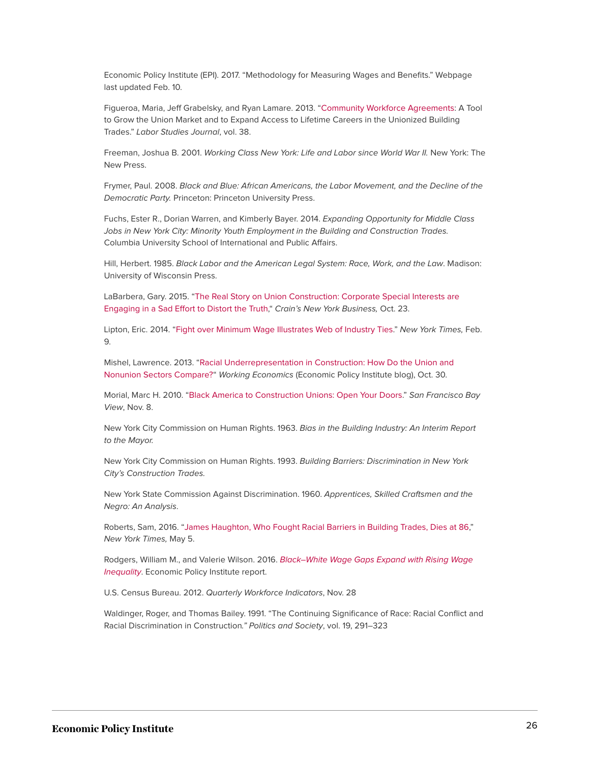Economic Policy Institute (EPI). 2017. "Methodology for Measuring Wages and Benefits." Webpage last updated Feb. 10.

Figueroa, Maria, Jeff Grabelsky, and Ryan Lamare. 2013. ["Community Workforce Agreements:](http://lsj.sagepub.com/content/38/1/7.full.pdf+html) A Tool to Grow the Union Market and to Expand Access to Lifetime Careers in the Unionized Building Trades." *Labor Studies Journal*, vol. 38.

Freeman, Joshua B. 2001. *Working Class New York: Life and Labor since World War II.* New York: The New Press.

Frymer, Paul. 2008. *Black and Blue: African Americans, the Labor Movement, and the Decline of the Democratic Party.* Princeton: Princeton University Press.

Fuchs, Ester R., Dorian Warren, and Kimberly Bayer. 2014. *Expanding Opportunity for Middle Class Jobs in New York City: Minority Youth Employment in the Building and Construction Trades.* Columbia University School of International and Public Affairs.

Hill, Herbert. 1985. *Black Labor and the American Legal System: Race, Work, and the Law*. Madison: University of Wisconsin Press.

LaBarbera, Gary. 2015. ["The Real Story on Union Construction: Corporate Special Interests are](http://www.crainsnewyork.com/article/20151023/OPINION/151029924) [Engaging in a Sad Effort to Distort the Truth](http://www.crainsnewyork.com/article/20151023/OPINION/151029924)," *Crain's New York Business,* Oct. 23.

Lipton, Eric. 2014. "[Fight over Minimum Wage Illustrates Web of Industry Ties.](https://www.nytimes.com/2014/02/10/us/politics/fight-over-minimum-wage-illustrates-web-of-industry-ties.html?_r=2)" *New York Times,* Feb. 9.

Mishel, Lawrence. 2013. ["Racial Underrepresentation in Construction:](http://www.epi.org/blog/racial-underrepresentation-construction/) How Do the Union and [Nonunion Sectors Compare?](http://www.epi.org/blog/racial-underrepresentation-construction/)" *Working Economics* (Economic Policy Institute blog), Oct. 30.

Morial, Marc H. 2010. ["Black America to Construction Unions: Open Your Doors.](http://sfbayview.com/2010/11/union-plas-block-blacks-from-construction/)" *San Francisco Bay View*, Nov. 8.

New York City Commission on Human Rights. 1963. *Bias in the Building Industry: An Interim Report to the Mayor.*

New York City Commission on Human Rights. 1993. *Building Barriers: Discrimination in New York City's Construction Trades.*

New York State Commission Against Discrimination. 1960. *Apprentices, Skilled Craftsmen and the Negro: An Analysis*.

Roberts, Sam, 2016. "[James Haughton, Who Fought Racial Barriers in Building Trades, Dies at 86,](http://www.nytimes.com/2016/05/06/nyregion/james-haughton-who-fought-racial-barriers-in-building-trades-dies-at-86.html?_r=0)" *New York Times,* May 5.

Rodgers, William M., and Valerie Wilson. 2016. *[Black–White Wage Gaps Expand with Rising Wage](http://www.epi.org/publication/black-white-wage-gaps-expand-with-rising-wage-inequality/) [Inequality](http://www.epi.org/publication/black-white-wage-gaps-expand-with-rising-wage-inequality/)*. Economic Policy Institute report.

U.S. Census Bureau. 2012. *Quarterly Workforce Indicators*, Nov. 28

Waldinger, Roger, and Thomas Bailey. 1991. "The Continuing Significance of Race: Racial Conflict and Racial Discrimination in Construction*." Politics and Society*, vol. 19, 291–323